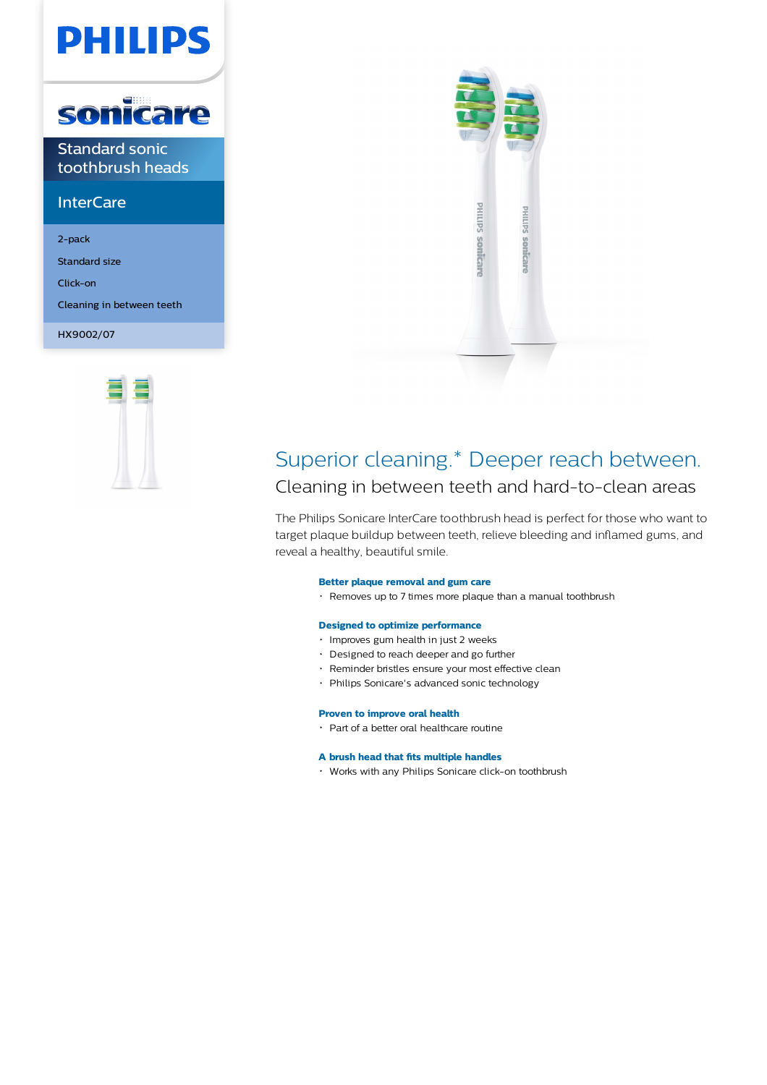# **PHILIPS**



Standard sonic toothbrush heads

## **InterCare**

2-pack

Standard size

Click-on

Cleaning in between teeth

HX9002/07





## Superior cleaning.\* Deeper reach between.

Cleaning in between teeth and hard-to-clean areas

The Philips Sonicare InterCare toothbrush head is perfect for those who want to target plaque buildup between teeth, relieve bleeding and inflamed gums, and reveal a healthy, beautiful smile.

## **Better plaque removal and gum care**

Removes up to 7 times more plaque than a manual toothbrush

## **Designed to optimize performance**

- Improves gum health in just 2 weeks
- Designed to reach deeper and go further
- Reminder bristles ensure your most effective clean
- Philips Sonicare's advanced sonic technology

## **Proven to improve oral health**

Part of a better oral healthcare routine

## **A brush head that fits multiple handles**

Works with any Philips Sonicare click-on toothbrush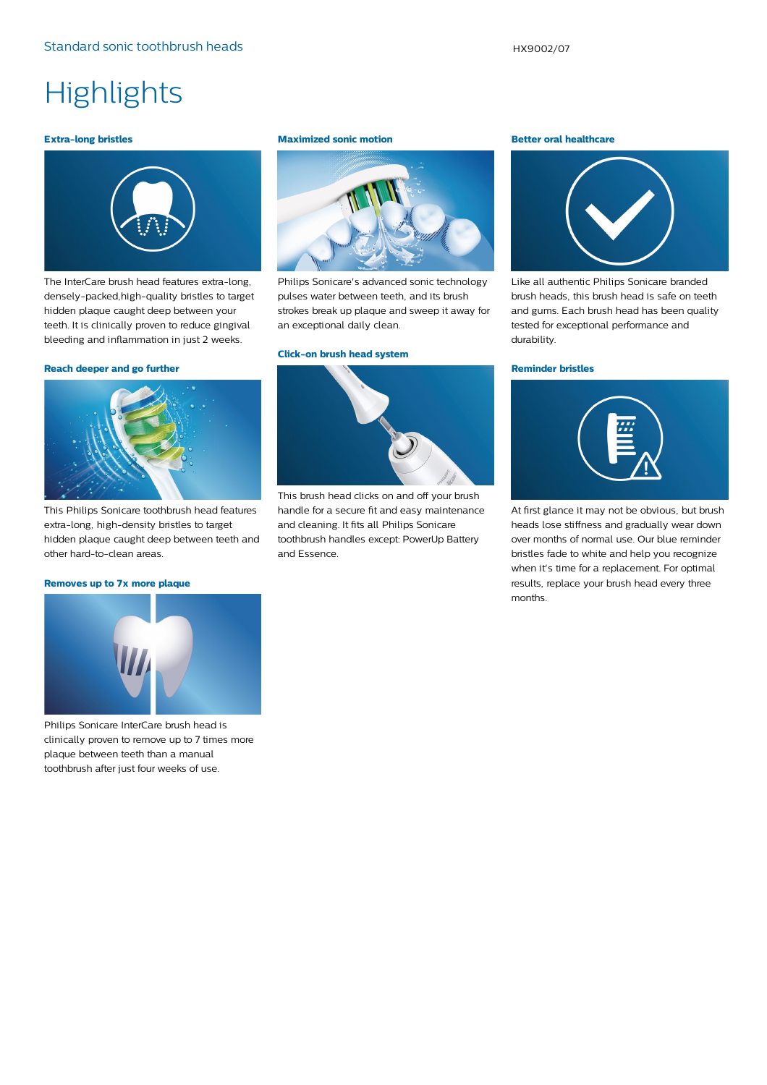# **Highlights**

### **Extra-long bristles**



The InterCare brush head features extra-long, densely-packed,high-quality bristles to target hidden plaque caught deep between your teeth. It is clinically proven to reduce gingival bleeding and inflammation in just 2 weeks.

### **Reach deeper and go further**



This Philips Sonicare toothbrush head features extra-long, high-density bristles to target hidden plaque caught deep between teeth and other hard-to-clean areas.

## **Removes up to 7x more plaque**

#### **Maximized sonic motion**



Philips Sonicare's advanced sonic technology pulses water between teeth, and its brush strokes break up plaque and sweep it away for an exceptional daily clean.

#### **Click-on brush head system**



This brush head clicks on and off your brush handle for a secure fit and easy maintenance and cleaning. It fits all Philips Sonicare toothbrush handles except: PowerUp Battery and Essence.

#### **Better oral healthcare**



Like all authentic Philips Sonicare branded brush heads, this brush head is safe on teeth and gums. Each brush head has been quality tested for exceptional performance and durability.

#### **Reminder bristles**



At first glance it may not be obvious, but brush heads lose stiffness and gradually wear down over months of normal use. Our blue reminder bristles fade to white and help you recognize when it's time for a replacement. For optimal results, replace your brush head every three months.



Philips Sonicare InterCare brush head is clinically proven to remove up to 7 times more plaque between teeth than a manual toothbrush after just four weeks of use.